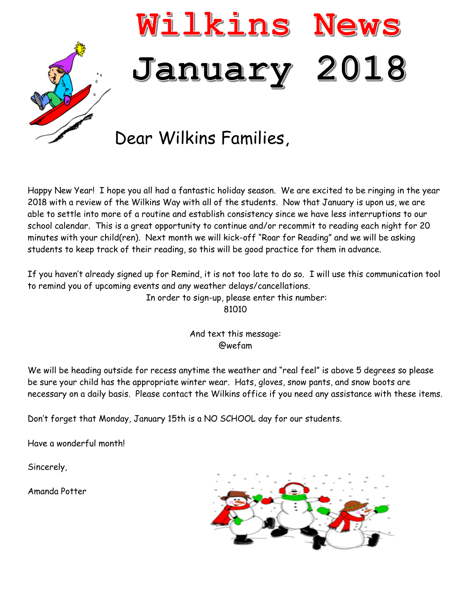

Happy New Year! I hope you all had a fantastic holiday season. We are excited to be ringing in the year 2018 with a review of the Wilkins Way with all of the students. Now that January is upon us, we are able to settle into more of a routine and establish consistency since we have less interruptions to our school calendar. This is a great opportunity to continue and/or recommit to reading each night for 20 minutes with your child(ren). Next month we will kick-off "Roar for Reading" and we will be asking students to keep track of their reading, so this will be good practice for them in advance.

If you haven't already signed up for Remind, it is not too late to do so. I will use this communication tool to remind you of upcoming events and any weather delays/cancellations.

In order to sign-up, please enter this number:

81010

And text this message: @wefam

We will be heading outside for recess anytime the weather and "real feel" is above 5 degrees so please be sure your child has the appropriate winter wear. Hats, gloves, snow pants, and snow boots are necessary on a daily basis. Please contact the Wilkins office if you need any assistance with these items.

Don't forget that Monday, January 15th is a NO SCHOOL day for our students.

Have a wonderful month!

Sincerely,

Amanda Potter

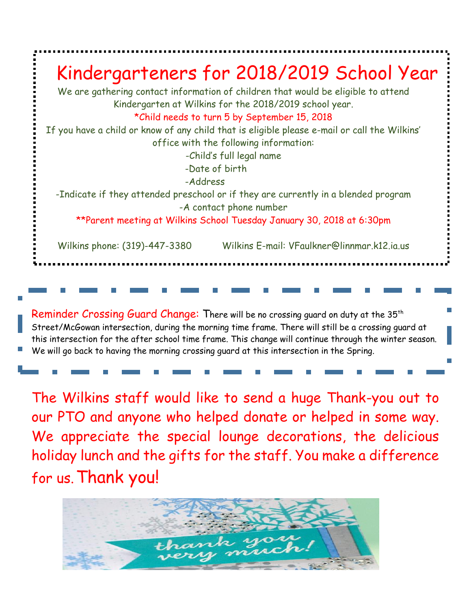

We will go back to having the morning crossing guard at this intersection in the Spring.

The Wilkins staff would like to send a huge Thank-you out to our PTO and anyone who helped donate or helped in some way. We appreciate the special lounge decorations, the delicious holiday lunch and the gifts for the staff. You make a difference for us.Thank you!

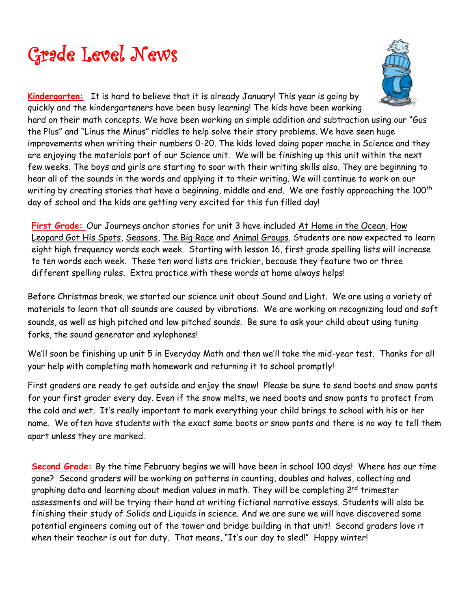



**Kindergarten:** It is hard to believe that it is already January! This year is going by quickly and the kindergarteners have been busy learning! The kids have been working hard on their math concepts. We have been working on simple addition and subtraction using our "Gus the Plus" and "Linus the Minus" riddles to help solve their story problems. We have seen huge improvements when writing their numbers 0-20. The kids loved doing paper mache in Science and they are enjoying the materials part of our Science unit. We will be finishing up this unit within the next few weeks. The boys and girls are starting to soar with their writing skills also. They are beginning to hear all of the sounds in the words and applying it to their writing. We will continue to work on our writing by creating stories that have a beginning, middle and end. We are fastly approaching the 100<sup>th</sup> day of school and the kids are getting very excited for this fun filled day!

First Grade: Our Journeys anchor stories for unit 3 have included At Home in the Ocean, How Leopard Got His Spots, Seasons, The Big Race and Animal Groups. Students are now expected to learn eight high frequency words each week. Starting with lesson 16, first grade spelling lists will increase to ten words each week. These ten word lists are trickier, because they feature two or three different spelling rules. Extra practice with these words at home always helps!

Before Christmas break, we started our science unit about Sound and Light. We are using a variety of materials to learn that all sounds are caused by vibrations. We are working on recognizing loud and soft sounds, as well as high pitched and low pitched sounds. Be sure to ask your child about using tuning forks, the sound generator and xylophones!

We'll soon be finishing up unit 5 in Everyday Math and then we'll take the mid-year test. Thanks for all your help with completing math homework and returning it to school promptly!

First graders are ready to get outside and enjoy the snow! Please be sure to send boots and snow pants for your first grader every day. Even if the snow melts, we need boots and snow pants to protect from the cold and wet. It's really important to mark everything your child brings to school with his or her name. We often have students with the exact same boots or snow pants and there is no way to tell them apart unless they are marked.

**Second Grade:** By the time February begins we will have been in school 100 days! Where has our time gone? Second graders will be working on patterns in counting, doubles and halves, collecting and graphing data and learning about median values in math. They will be completing 2<sup>nd</sup> trimester assessments and will be trying their hand at writing fictional narrative essays. Students will also be finishing their study of Solids and Liquids in science. And we are sure we will have discovered some potential engineers coming out of the tower and bridge building in that unit! Second graders love it when their teacher is out for duty. That means, "It's our day to sled!" Happy winter!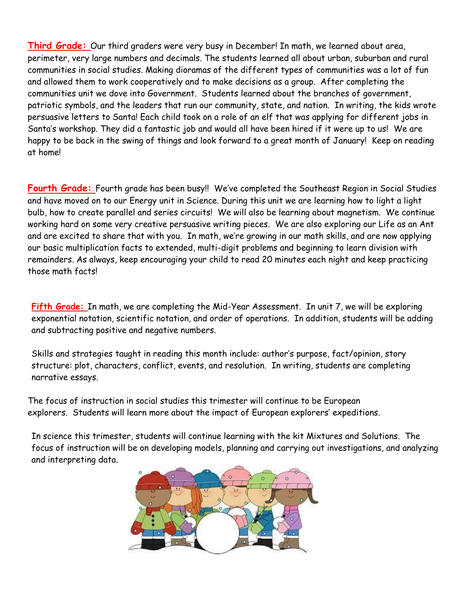**Third Grade:** Our third graders were very busy in December! In math, we learned about area, perimeter, very large numbers and decimals. The students learned all about urban, suburban and rural communities in social studies. Making dioramas of the different types of communities was a lot of fun and allowed them to work cooperatively and to make decisions as a group. After completing the communities unit we dove into Government. Students learned about the branches of government, patriotic symbols, and the leaders that run our community, state, and nation. In writing, the kids wrote persuasive letters to Santa! Each child took on a role of an elf that was applying for different jobs in Santa's workshop. They did a fantastic job and would all have been hired if it were up to us! We are happy to be back in the swing of things and look forward to a great month of January! Keep on reading at home!

**Fourth Grade:** Fourth grade has been busy!! We've completed the Southeast Region in Social Studies and have moved on to our Energy unit in Science. During this unit we are learning how to light a light bulb, how to create parallel and series circuits! We will also be learning about magnetism. We continue working hard on some very creative persuasive writing pieces. We are also exploring our Life as an Ant and are excited to share that with you. In math, we're growing in our math skills, and are now applying our basic multiplication facts to extended, multi-digit problems and beginning to learn division with remainders. As always, keep encouraging your child to read 20 minutes each night and keep practicing those math facts!

**Fifth Grade:** In math, we are completing the Mid-Year Assessment. In unit 7, we will be exploring exponential notation, scientific notation, and order of operations. In addition, students will be adding and subtracting positive and negative numbers.

Skills and strategies taught in reading this month include: author's purpose, fact/opinion, story structure: plot, characters, conflict, events, and resolution. In writing, students are completing narrative essays.

The focus of instruction in social studies this trimester will continue to be European explorers. Students will learn more about the impact of European explorers' expeditions.

In science this trimester, students will continue learning with the kit Mixtures and Solutions. The focus of instruction will be on developing models, planning and carrying out investigations, and analyzing and interpreting data.

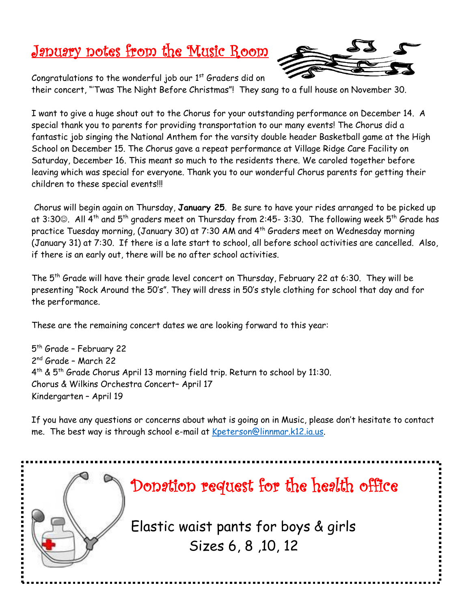### January notes from the Music Room



Congratulations to the wonderful job our  $1<sup>st</sup>$  Graders did on

their concert, "'Twas The Night Before Christmas"! They sang to a full house on November 30.

I want to give a huge shout out to the Chorus for your outstanding performance on December 14. A special thank you to parents for providing transportation to our many events! The Chorus did a fantastic job singing the National Anthem for the varsity double header Basketball game at the High School on December 15. The Chorus gave a repeat performance at Village Ridge Care Facility on Saturday, December 16. This meant so much to the residents there. We caroled together before leaving which was special for everyone. Thank you to our wonderful Chorus parents for getting their children to these special events!!!

Chorus will begin again on Thursday, **January 25**. Be sure to have your rides arranged to be picked up at 3:30©. All 4<sup>th</sup> and 5<sup>th</sup> graders meet on Thursday from 2:45- 3:30. The following week 5<sup>th</sup> Grade has practice Tuesday morning, (January 30) at 7:30 AM and 4<sup>th</sup> Graders meet on Wednesday morning (January 31) at 7:30. If there is a late start to school, all before school activities are cancelled. Also, if there is an early out, there will be no after school activities.

The 5th Grade will have their grade level concert on Thursday, February 22 at 6:30. They will be presenting "Rock Around the 50's". They will dress in 50's style clothing for school that day and for the performance.

These are the remaining concert dates we are looking forward to this year:

5<sup>th</sup> Grade - February 22 2<sup>nd</sup> Grade - March 22 4 th & 5th Grade Chorus April 13 morning field trip. Return to school by 11:30. Chorus & Wilkins Orchestra Concert– April 17 Kindergarten – April 19

If you have any questions or concerns about what is going on in Music, please don't hesitate to contact me. The best way is through school e-mail at [Kpeterson@linnmar.k12.ia.us.](mailto:Kpeterson@linnmar.k12.ia.us)

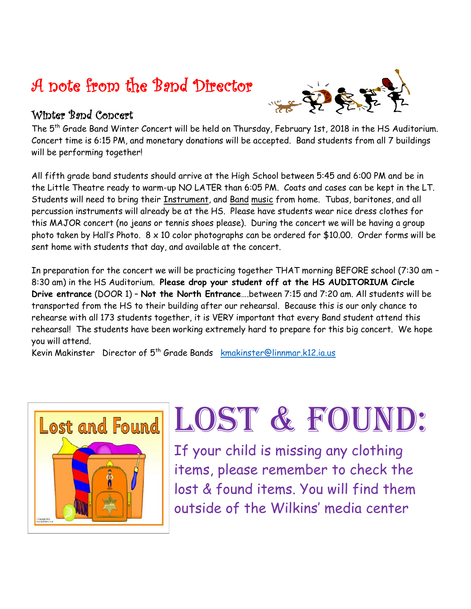### A note from the Band Director



#### Winter Band Concert

The 5th Grade Band Winter Concert will be held on Thursday, February 1st, 2018 in the HS Auditorium. Concert time is 6:15 PM, and monetary donations will be accepted. Band students from all 7 buildings will be performing together!

All fifth grade band students should arrive at the High School between 5:45 and 6:00 PM and be in the Little Theatre ready to warm-up NO LATER than 6:05 PM. Coats and cases can be kept in the LT. Students will need to bring their Instrument, and Band music from home. Tubas, baritones, and all percussion instruments will already be at the HS. Please have students wear nice dress clothes for this MAJOR concert (no jeans or tennis shoes please). During the concert we will be having a group photo taken by Hall's Photo. 8 x 10 color photographs can be ordered for \$10.00. Order forms will be sent home with students that day, and available at the concert.

In preparation for the concert we will be practicing together THAT morning BEFORE school (7:30 am – 8:30 am) in the HS Auditorium. **Please drop your student off at the HS AUDITORIUM Circle Drive entrance** (DOOR 1) – **Not the North Entrance**….between 7:15 and 7:20 am. All students will be transported from the HS to their building after our rehearsal. Because this is our only chance to rehearse with all 173 students together, it is VERY important that every Band student attend this rehearsal! The students have been working extremely hard to prepare for this big concert. We hope you will attend.

Kevin Makinster Director of 5th Grade Bands [kmakinster@linnmar.k12.ia.us](mailto:kmakinster@linnmar.k12.ia.us)



# LOST & FOUND:

If your child is missing any clothing items, please remember to check the lost & found items. You will find them outside of the Wilkins' media center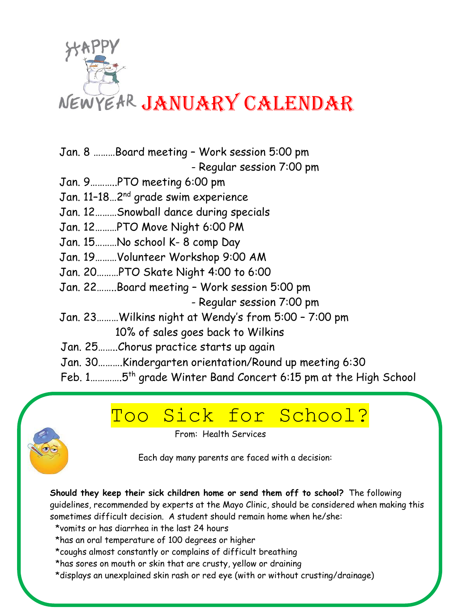

- Jan. 8 ………Board meeting Work session 5:00 pm - Regular session 7:00 pm
- Jan. 9………..PTO meeting 6:00 pm
- Jan. 11-18...2<sup>nd</sup> grade swim experience
- Jan. 12………Snowball dance during specials
- Jan. 12………PTO Move Night 6:00 PM
- Jan. 15………No school K- 8 comp Day
- Jan. 19………Volunteer Workshop 9:00 AM
- Jan. 20………PTO Skate Night 4:00 to 6:00
- Jan. 22……..Board meeting Work session 5:00 pm
	- Regular session 7:00 pm
- Jan. 23………Wilkins night at Wendy's from 5:00 7:00 pm 10% of sales goes back to Wilkins
- Jan. 25……..Chorus practice starts up again
- Jan. 30……….Kindergarten orientation/Round up meeting 6:30
- Feb. 1………….5th grade Winter Band Concert 6:15 pm at the High School

## Too Sick for School?

From: Health Services

Each day many parents are faced with a decision:

**Should they keep their sick children home or send them off to school?** The following guidelines, recommended by experts at the Mayo Clinic, should be considered when making this sometimes difficult decision. A student should remain home when he/she:

\*vomits or has diarrhea in the last 24 hours

ī

- \*has an oral temperature of 100 degrees or higher
- \*coughs almost constantly or complains of difficult breathing
- \*has sores on mouth or skin that are crusty, yellow or draining
- \*displays an unexplained skin rash or red eye (with or without crusting/drainage)